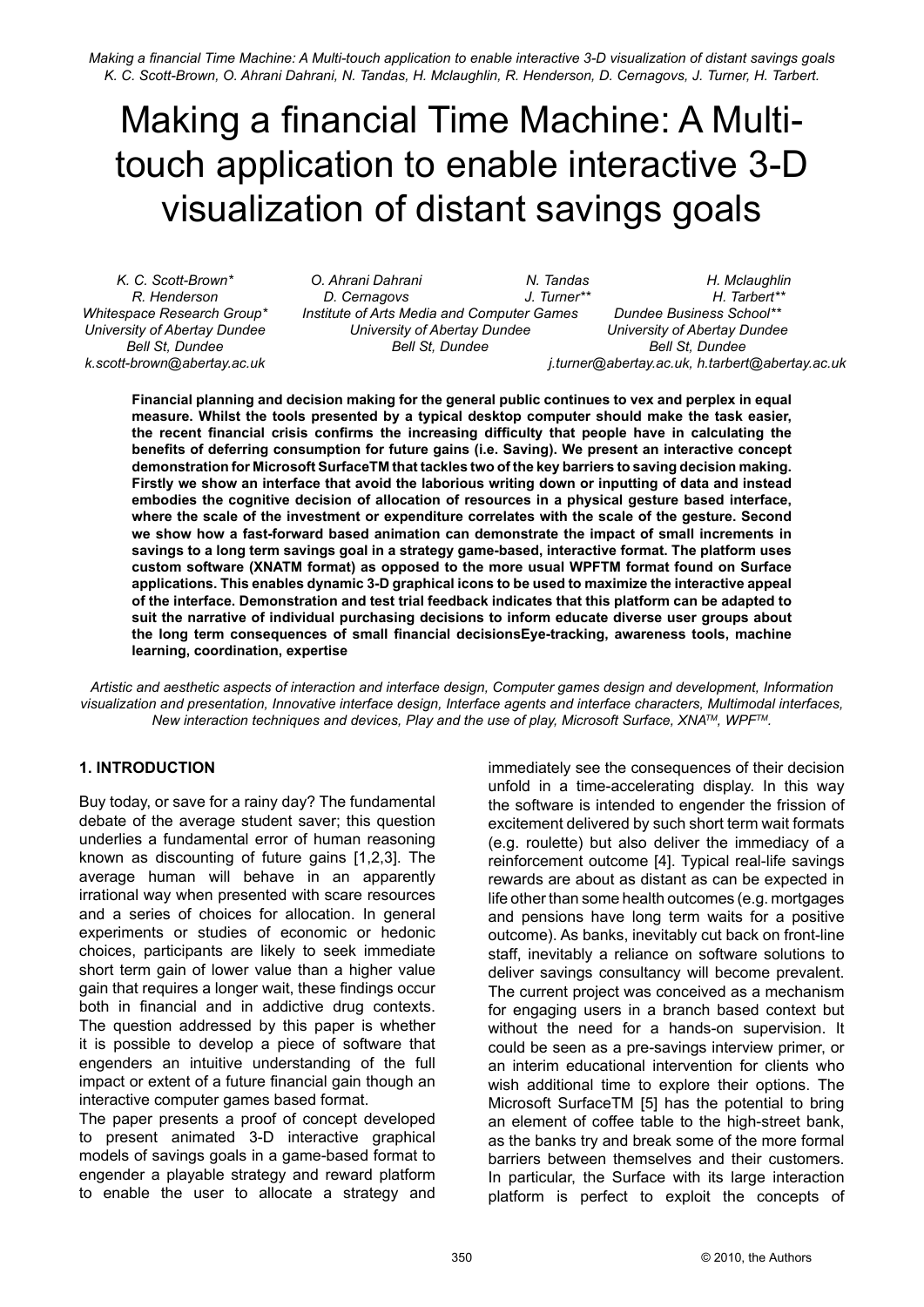# Making a financial Time Machine: A Multitouch application to enable interactive 3-D visualization of distant savings goals

*R. Henderson D. Cernagovs J. Turner\*\* H. Tarbert\*\* Whitespace Research Group\* University of Abertay Dundee Bell St, Dundee k.scott-brown@abertay.ac.uk*

*Institute of Arts Media and Computer Games University of Abertay Dundee Bell St, Dundee*

*K. C. Scott-Brown\* O. Ahrani Dahrani N. Tandas H. Mclaughlin Dundee Business School\*\* University of Abertay Dundee Bell St, Dundee j.turner@abertay.ac.uk, h.tarbert@abertay.ac.uk*

**Financial planning and decision making for the general public continues to vex and perplex in equal measure. Whilst the tools presented by a typical desktop computer should make the task easier, the recent financial crisis confirms the increasing difficulty that people have in calculating the benefits of deferring consumption for future gains (i.e. Saving). We present an interactive concept demonstration for Microsoft SurfaceTM that tackles two of the key barriers to saving decision making. Firstly we show an interface that avoid the laborious writing down or inputting of data and instead embodies the cognitive decision of allocation of resources in a physical gesture based interface, where the scale of the investment or expenditure correlates with the scale of the gesture. Second we show how a fast-forward based animation can demonstrate the impact of small increments in savings to a long term savings goal in a strategy game-based, interactive format. The platform uses custom software (XNATM format) as opposed to the more usual WPFTM format found on Surface applications. This enables dynamic 3-D graphical icons to be used to maximize the interactive appeal of the interface. Demonstration and test trial feedback indicates that this platform can be adapted to suit the narrative of individual purchasing decisions to inform educate diverse user groups about the long term consequences of small financial decisionsEye-tracking, awareness tools, machine learning, coordination, expertise** 

*Artistic and aesthetic aspects of interaction and interface design, Computer games design and development, Information visualization and presentation, Innovative interface design, Interface agents and interface characters, Multimodal interfaces, New interaction techniques and devices, Play and the use of play, Microsoft Surface, XNATM, WPFTM.*

## **1. INTRODUCTION**

Buy today, or save for a rainy day? The fundamental debate of the average student saver; this question underlies a fundamental error of human reasoning known as discounting of future gains [1,2,3]. The average human will behave in an apparently irrational way when presented with scare resources and a series of choices for allocation. In general experiments or studies of economic or hedonic choices, participants are likely to seek immediate short term gain of lower value than a higher value gain that requires a longer wait, these findings occur both in financial and in addictive drug contexts. The question addressed by this paper is whether it is possible to develop a piece of software that engenders an intuitive understanding of the full impact or extent of a future financial gain though an interactive computer games based format.

The paper presents a proof of concept developed to present animated 3-D interactive graphical models of savings goals in a game-based format to engender a playable strategy and reward platform to enable the user to allocate a strategy and immediately see the consequences of their decision unfold in a time-accelerating display. In this way the software is intended to engender the frission of excitement delivered by such short term wait formats (e.g. roulette) but also deliver the immediacy of a reinforcement outcome [4]. Typical real-life savings rewards are about as distant as can be expected in life other than some health outcomes (e.g. mortgages and pensions have long term waits for a positive outcome). As banks, inevitably cut back on front-line staff, inevitably a reliance on software solutions to deliver savings consultancy will become prevalent. The current project was conceived as a mechanism for engaging users in a branch based context but without the need for a hands-on supervision. It could be seen as a pre-savings interview primer, or an interim educational intervention for clients who wish additional time to explore their options. The Microsoft SurfaceTM [5] has the potential to bring an element of coffee table to the high-street bank, as the banks try and break some of the more formal barriers between themselves and their customers. In particular, the Surface with its large interaction platform is perfect to exploit the concepts of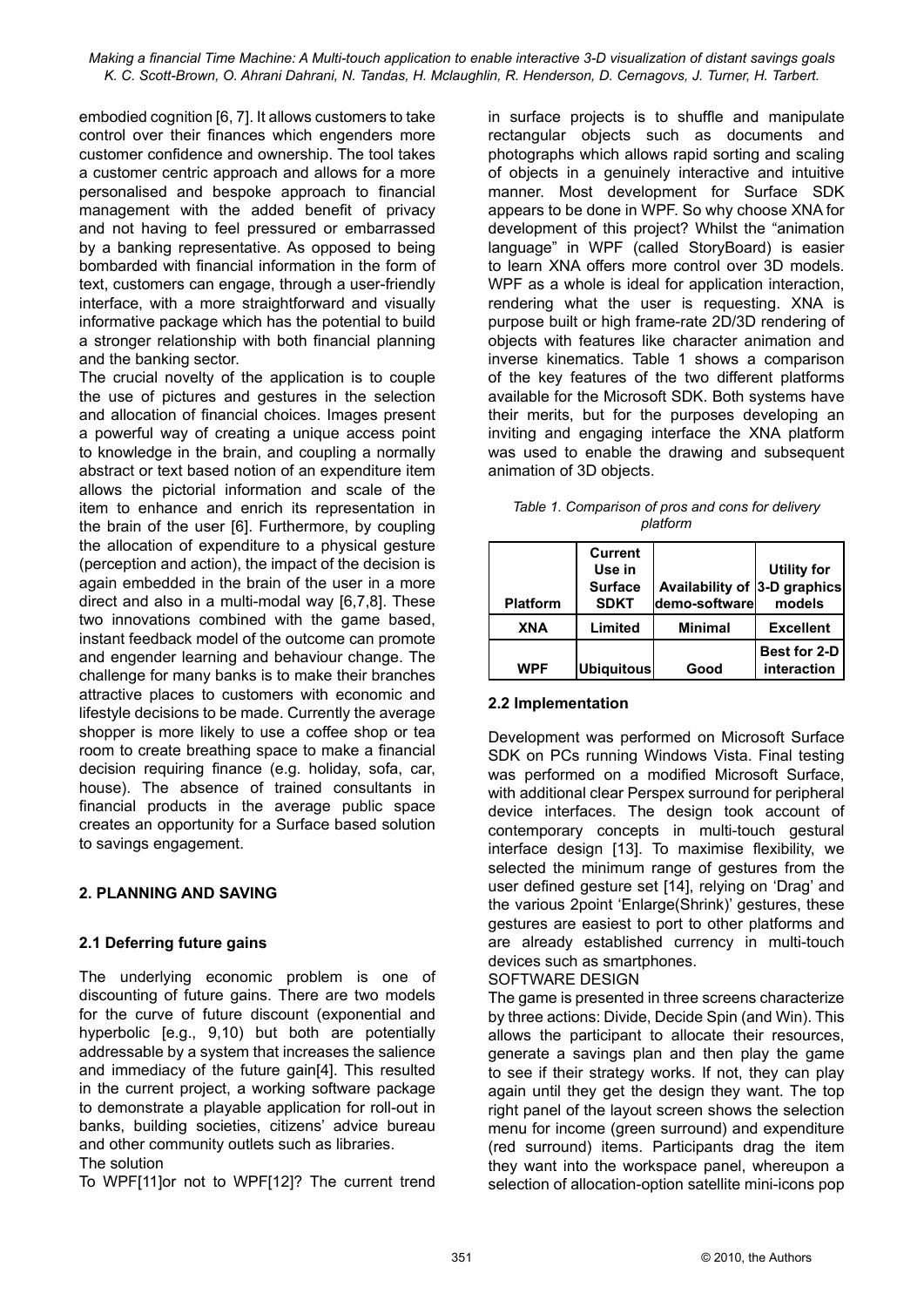embodied cognition [6, 7]. It allows customers to take control over their finances which engenders more customer confidence and ownership. The tool takes a customer centric approach and allows for a more personalised and bespoke approach to financial management with the added benefit of privacy and not having to feel pressured or embarrassed by a banking representative. As opposed to being bombarded with financial information in the form of text, customers can engage, through a user-friendly interface, with a more straightforward and visually informative package which has the potential to build a stronger relationship with both financial planning and the banking sector.

The crucial novelty of the application is to couple the use of pictures and gestures in the selection and allocation of financial choices. Images present a powerful way of creating a unique access point to knowledge in the brain, and coupling a normally abstract or text based notion of an expenditure item allows the pictorial information and scale of the item to enhance and enrich its representation in the brain of the user [6]. Furthermore, by coupling the allocation of expenditure to a physical gesture (perception and action), the impact of the decision is again embedded in the brain of the user in a more direct and also in a multi-modal way [6,7,8]. These two innovations combined with the game based, instant feedback model of the outcome can promote and engender learning and behaviour change. The challenge for many banks is to make their branches attractive places to customers with economic and lifestyle decisions to be made. Currently the average shopper is more likely to use a coffee shop or tea room to create breathing space to make a financial decision requiring finance (e.g. holiday, sofa, car, house). The absence of trained consultants in financial products in the average public space creates an opportunity for a Surface based solution to savings engagement.

# **2. PLANNING AND SAVING**

## **2.1 Deferring future gains**

The underlying economic problem is one of discounting of future gains. There are two models for the curve of future discount (exponential and hyperbolic [e.g., 9,10) but both are potentially addressable by a system that increases the salience and immediacy of the future gain[4]. This resulted in the current project, a working software package to demonstrate a playable application for roll-out in banks, building societies, citizens' advice bureau and other community outlets such as libraries. The solution

To WPF[11]or not to WPF[12]? The current trend

in surface projects is to shuffle and manipulate rectangular objects such as documents and photographs which allows rapid sorting and scaling of objects in a genuinely interactive and intuitive manner. Most development for Surface SDK appears to be done in WPF. So why choose XNA for development of this project? Whilst the "animation language" in WPF (called StoryBoard) is easier to learn XNA offers more control over 3D models. WPF as a whole is ideal for application interaction. rendering what the user is requesting. XNA is purpose built or high frame-rate 2D/3D rendering of objects with features like character animation and inverse kinematics. Table 1 shows a comparison of the key features of the two different platforms available for the Microsoft SDK. Both systems have their merits, but for the purposes developing an inviting and engaging interface the XNA platform was used to enable the drawing and subsequent animation of 3D objects.

*Table 1. Comparison of pros and cons for delivery platform*

| <b>Platform</b> | <b>Current</b><br>Use in<br><b>Surface</b><br><b>SDKT</b> | Availability of 3-D graphics<br>demo-softwarel | <b>Utility for</b><br>models |
|-----------------|-----------------------------------------------------------|------------------------------------------------|------------------------------|
| <b>XNA</b>      | Limited                                                   | <b>Minimal</b>                                 | <b>Excellent</b>             |
| <b>WPF</b>      | Ubiquitous                                                | Good                                           | Best for 2-D<br>interaction  |

# **2.2 Implementation**

Development was performed on Microsoft Surface SDK on PCs running Windows Vista. Final testing was performed on a modified Microsoft Surface, with additional clear Perspex surround for peripheral device interfaces. The design took account of contemporary concepts in multi-touch gestural interface design [13]. To maximise flexibility, we selected the minimum range of gestures from the user defined gesture set [14], relying on 'Drag' and the various 2point 'Enlarge(Shrink)' gestures, these gestures are easiest to port to other platforms and are already established currency in multi-touch devices such as smartphones.

SOFTWARE DESIGN

The game is presented in three screens characterize by three actions: Divide, Decide Spin (and Win). This allows the participant to allocate their resources, generate a savings plan and then play the game to see if their strategy works. If not, they can play again until they get the design they want. The top right panel of the layout screen shows the selection menu for income (green surround) and expenditure (red surround) items. Participants drag the item they want into the workspace panel, whereupon a selection of allocation-option satellite mini-icons pop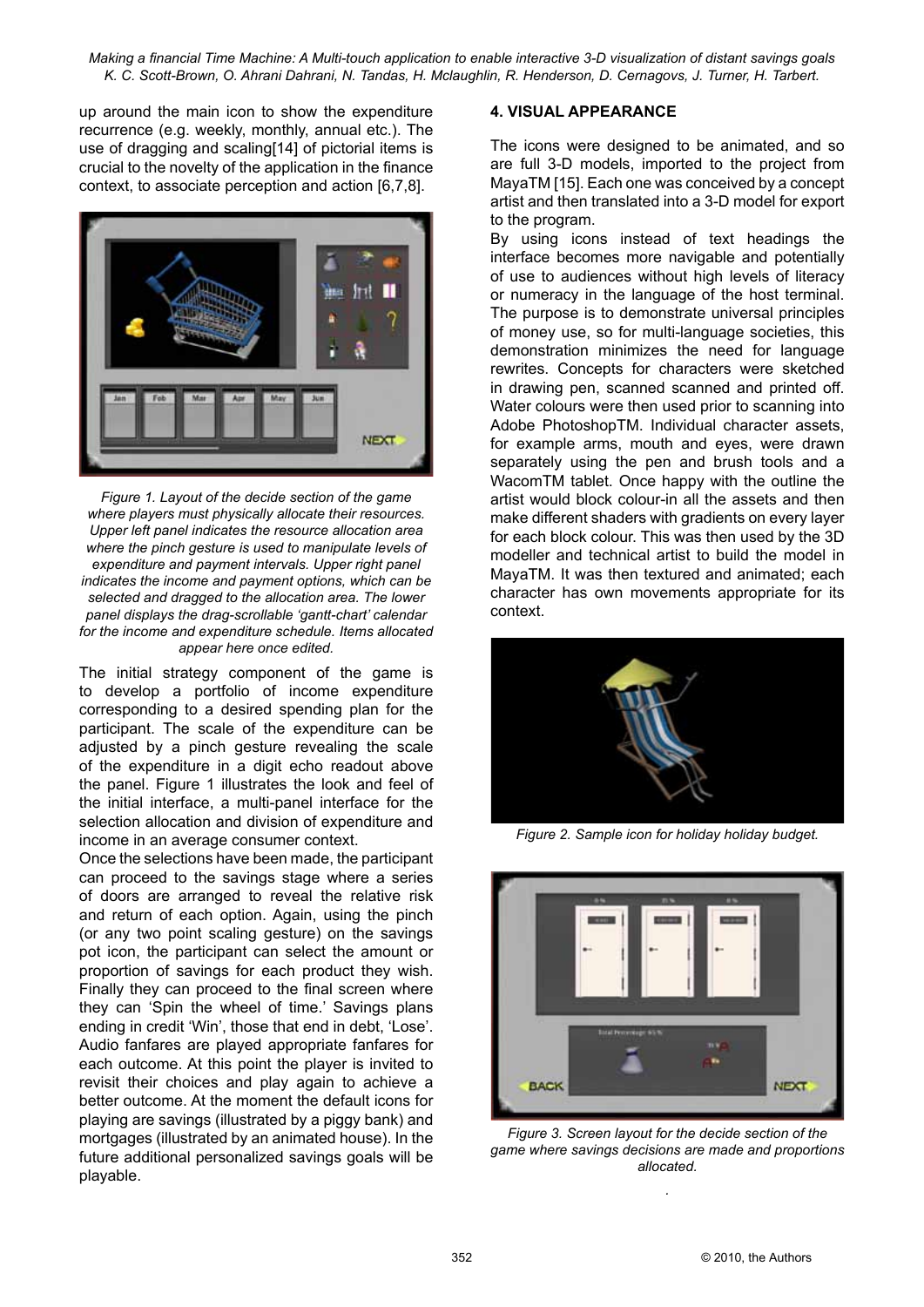up around the main icon to show the expenditure recurrence (e.g. weekly, monthly, annual etc.). The use of dragging and scaling[14] of pictorial items is crucial to the novelty of the application in the finance context, to associate perception and action [6,7,8].



*Figure 1. Layout of the decide section of the game where players must physically allocate their resources. Upper left panel indicates the resource allocation area where the pinch gesture is used to manipulate levels of expenditure and payment intervals. Upper right panel indicates the income and payment options, which can be selected and dragged to the allocation area. The lower panel displays the drag-scrollable 'gantt-chart' calendar for the income and expenditure schedule. Items allocated appear here once edited.*

The initial strategy component of the game is to develop a portfolio of income expenditure corresponding to a desired spending plan for the participant. The scale of the expenditure can be adjusted by a pinch gesture revealing the scale of the expenditure in a digit echo readout above the panel. Figure 1 illustrates the look and feel of the initial interface, a multi-panel interface for the selection allocation and division of expenditure and income in an average consumer context.

Once the selections have been made, the participant can proceed to the savings stage where a series of doors are arranged to reveal the relative risk and return of each option. Again, using the pinch (or any two point scaling gesture) on the savings pot icon, the participant can select the amount or proportion of savings for each product they wish. Finally they can proceed to the final screen where they can 'Spin the wheel of time.' Savings plans ending in credit 'Win', those that end in debt, 'Lose'. Audio fanfares are played appropriate fanfares for each outcome. At this point the player is invited to revisit their choices and play again to achieve a better outcome. At the moment the default icons for playing are savings (illustrated by a piggy bank) and mortgages (illustrated by an animated house). In the future additional personalized savings goals will be playable.

#### **4. VISUAL APPEARANCE**

The icons were designed to be animated, and so are full 3-D models, imported to the project from MayaTM [15]. Each one was conceived by a concept artist and then translated into a 3-D model for export to the program.

By using icons instead of text headings the interface becomes more navigable and potentially of use to audiences without high levels of literacy or numeracy in the language of the host terminal. The purpose is to demonstrate universal principles of money use, so for multi-language societies, this demonstration minimizes the need for language rewrites. Concepts for characters were sketched in drawing pen, scanned scanned and printed off. Water colours were then used prior to scanning into Adobe PhotoshopTM. Individual character assets, for example arms, mouth and eyes, were drawn separately using the pen and brush tools and a WacomTM tablet. Once happy with the outline the artist would block colour-in all the assets and then make different shaders with gradients on every layer for each block colour. This was then used by the 3D modeller and technical artist to build the model in MayaTM. It was then textured and animated; each character has own movements appropriate for its context.



*Figure 2. Sample icon for holiday holiday budget.* 



*Figure 3. Screen layout for the decide section of the game where savings decisions are made and proportions allocated.* 

*.*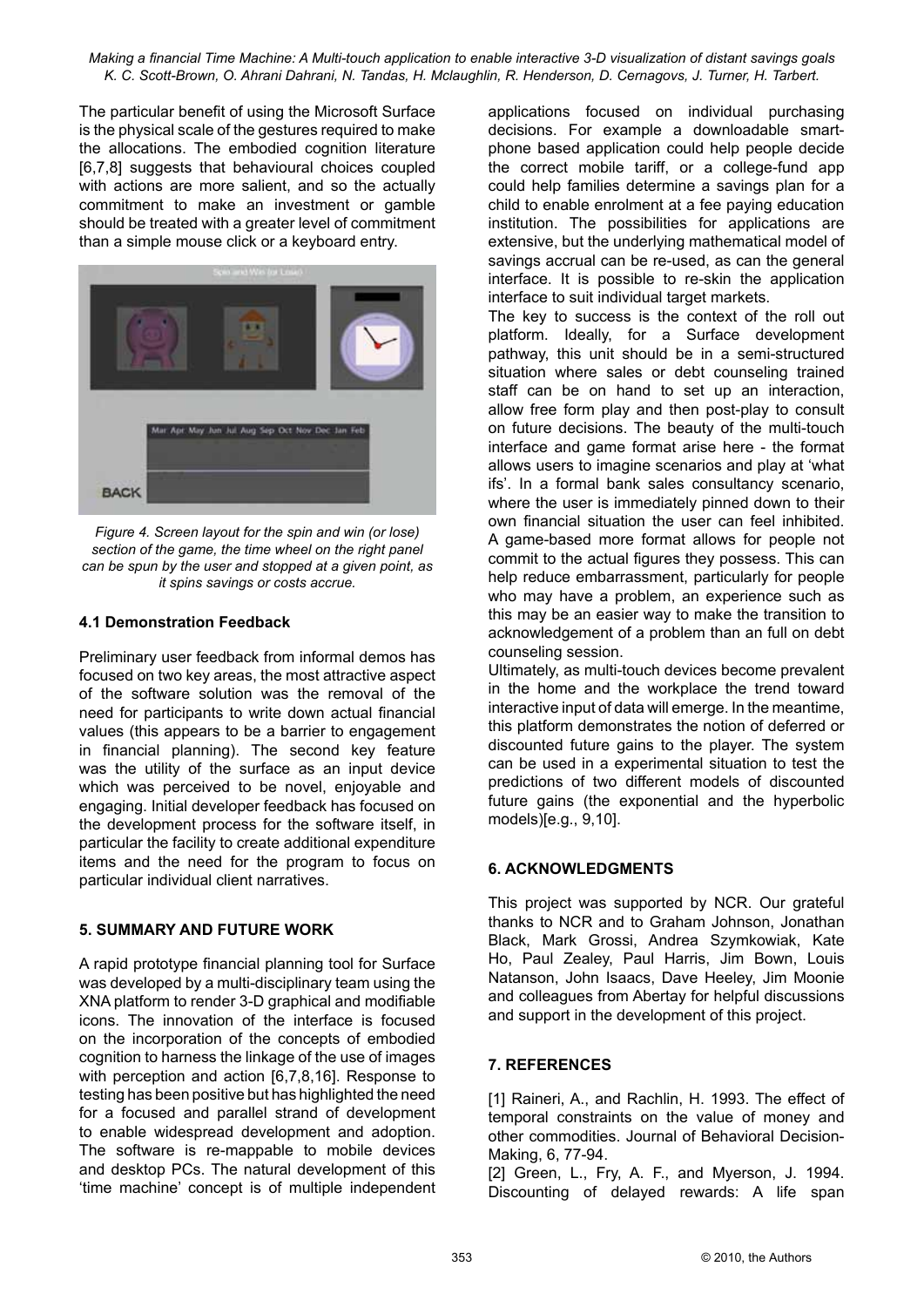The particular benefit of using the Microsoft Surface is the physical scale of the gestures required to make the allocations. The embodied cognition literature [6,7,8] suggests that behavioural choices coupled with actions are more salient, and so the actually commitment to make an investment or gamble should be treated with a greater level of commitment than a simple mouse click or a keyboard entry.



*Figure 4. Screen layout for the spin and win (or lose) section of the game, the time wheel on the right panel can be spun by the user and stopped at a given point, as it spins savings or costs accrue.*

#### **4.1 Demonstration Feedback**

Preliminary user feedback from informal demos has focused on two key areas, the most attractive aspect of the software solution was the removal of the need for participants to write down actual financial values (this appears to be a barrier to engagement in financial planning). The second key feature was the utility of the surface as an input device which was perceived to be novel, enjoyable and engaging. Initial developer feedback has focused on the development process for the software itself, in particular the facility to create additional expenditure items and the need for the program to focus on particular individual client narratives.

#### **5. SUMMARY AND FUTURE WORK**

A rapid prototype financial planning tool for Surface was developed by a multi-disciplinary team using the XNA platform to render 3-D graphical and modifiable icons. The innovation of the interface is focused on the incorporation of the concepts of embodied cognition to harness the linkage of the use of images with perception and action [6,7,8,16]. Response to testing has been positive but has highlighted the need for a focused and parallel strand of development to enable widespread development and adoption. The software is re-mappable to mobile devices and desktop PCs. The natural development of this 'time machine' concept is of multiple independent applications focused on individual purchasing decisions. For example a downloadable smartphone based application could help people decide the correct mobile tariff, or a college-fund app could help families determine a savings plan for a child to enable enrolment at a fee paying education institution. The possibilities for applications are extensive, but the underlying mathematical model of savings accrual can be re-used, as can the general interface. It is possible to re-skin the application interface to suit individual target markets.

The key to success is the context of the roll out platform. Ideally, for a Surface development pathway, this unit should be in a semi-structured situation where sales or debt counseling trained staff can be on hand to set up an interaction, allow free form play and then post-play to consult on future decisions. The beauty of the multi-touch interface and game format arise here - the format allows users to imagine scenarios and play at 'what ifs'. In a formal bank sales consultancy scenario, where the user is immediately pinned down to their own financial situation the user can feel inhibited. A game-based more format allows for people not commit to the actual figures they possess. This can help reduce embarrassment, particularly for people who may have a problem, an experience such as this may be an easier way to make the transition to acknowledgement of a problem than an full on debt counseling session.

Ultimately, as multi-touch devices become prevalent in the home and the workplace the trend toward interactive input of data will emerge. In the meantime, this platform demonstrates the notion of deferred or discounted future gains to the player. The system can be used in a experimental situation to test the predictions of two different models of discounted future gains (the exponential and the hyperbolic models)[e.g., 9,10].

## **6. ACKNOWLEDGMENTS**

This project was supported by NCR. Our grateful thanks to NCR and to Graham Johnson, Jonathan Black, Mark Grossi, Andrea Szymkowiak, Kate Ho, Paul Zealey, Paul Harris, Jim Bown, Louis Natanson, John Isaacs, Dave Heeley, Jim Moonie and colleagues from Abertay for helpful discussions and support in the development of this project.

#### **7. REFERENCES**

[1] Raineri, A., and Rachlin, H. 1993. The effect of temporal constraints on the value of money and other commodities. Journal of Behavioral Decision-Making, 6, 77-94.

[2] Green, L., Fry, A. F., and Myerson, J. 1994. Discounting of delayed rewards: A life span